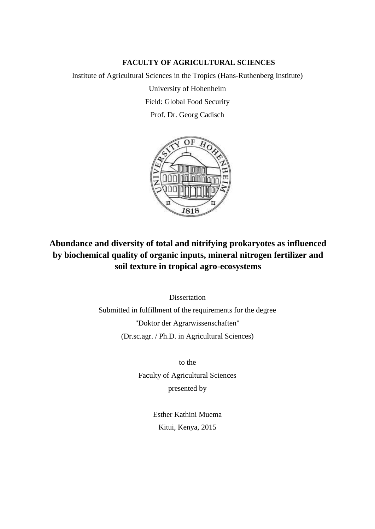## **FACULTY OF AGRICULTURAL SCIENCES**

Institute of Agricultural Sciences in the Tropics (Hans-Ruthenberg Institute) University of Hohenheim Field: Global Food Security Prof. Dr. Georg Cadisch



## **Abundance and diversity of total and nitrifying prokaryotes as influenced by biochemical quality of organic inputs, mineral nitrogen fertilizer and soil texture in tropical agro-ecosystems**

Dissertation Submitted in fulfillment of the requirements for the degree "Doktor der Agrarwissenschaften" (Dr.sc.agr. / Ph.D. in Agricultural Sciences)

to the

Faculty of Agricultural Sciences presented by

> Esther Kathini Muema Kitui, Kenya, 2015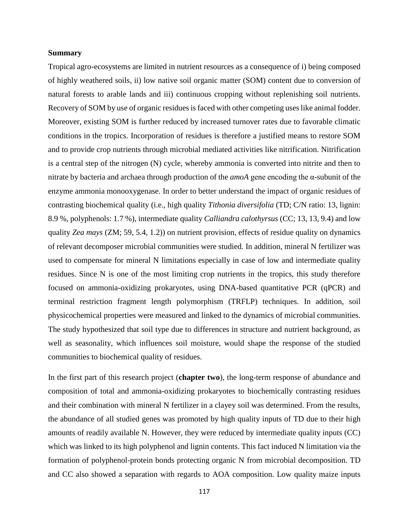## **Summary**

Tropical agro-ecosystems are limited in nutrient resources as a consequence of i) being composed of highly weathered soils, ii) low native soil organic matter (SOM) content due to conversion of natural forests to arable lands and iii) continuous cropping without replenishing soil nutrients. Recovery of SOM by use of organic residues is faced with other competing uses like animal fodder. Moreover, existing SOM is further reduced by increased turnover rates due to favorable climatic conditions in the tropics. Incorporation of residues is therefore a justified means to restore SOM and to provide crop nutrients through microbial mediated activities like nitrification. Nitrification is a central step of the nitrogen (N) cycle, whereby ammonia is converted into nitrite and then to nitrate by bacteria and archaea through production of the *amoA* gene encoding the α-subunit of the enzyme ammonia monooxygenase. In order to better understand the impact of organic residues of contrasting biochemical quality (i.e., high quality *Tithonia diversifolia* (TD; C/N ratio: 13, lignin: 8.9 %, polyphenols: 1.7 %), intermediate quality *Calliandra calothyrsus* (CC; 13, 13, 9.4) and low quality *Zea mays* (ZM; 59, 5.4, 1.2)) on nutrient provision, effects of residue quality on dynamics of relevant decomposer microbial communities were studied. In addition, mineral N fertilizer was used to compensate for mineral N limitations especially in case of low and intermediate quality residues. Since N is one of the most limiting crop nutrients in the tropics, this study therefore focused on ammonia-oxidizing prokaryotes, using DNA-based quantitative PCR (qPCR) and terminal restriction fragment length polymorphism (TRFLP) techniques. In addition, soil physicochemical properties were measured and linked to the dynamics of microbial communities. The study hypothesized that soil type due to differences in structure and nutrient background, as well as seasonality, which influences soil moisture, would shape the response of the studied communities to biochemical quality of residues.

In the first part of this research project (**chapter two**), the long-term response of abundance and composition of total and ammonia-oxidizing prokaryotes to biochemically contrasting residues and their combination with mineral N fertilizer in a clayey soil was determined. From the results, the abundance of all studied genes was promoted by high quality inputs of TD due to their high amounts of readily available N. However, they were reduced by intermediate quality inputs (CC) which was linked to its high polyphenol and lignin contents. This fact induced N limitation via the formation of polyphenol-protein bonds protecting organic N from microbial decomposition. TD and CC also showed a separation with regards to AOA composition. Low quality maize inputs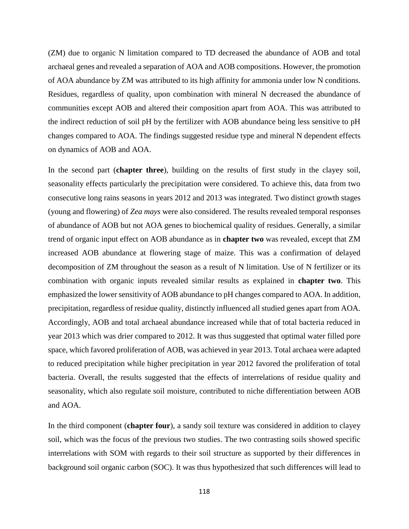(ZM) due to organic N limitation compared to TD decreased the abundance of AOB and total archaeal genes and revealed a separation of AOA and AOB compositions. However, the promotion of AOA abundance by ZM was attributed to its high affinity for ammonia under low N conditions. Residues, regardless of quality, upon combination with mineral N decreased the abundance of communities except AOB and altered their composition apart from AOA. This was attributed to the indirect reduction of soil pH by the fertilizer with AOB abundance being less sensitive to pH changes compared to AOA. The findings suggested residue type and mineral N dependent effects on dynamics of AOB and AOA.

In the second part (**chapter three**), building on the results of first study in the clayey soil, seasonality effects particularly the precipitation were considered. To achieve this, data from two consecutive long rains seasons in years 2012 and 2013 was integrated. Two distinct growth stages (young and flowering) of *Zea mays* were also considered. The results revealed temporal responses of abundance of AOB but not AOA genes to biochemical quality of residues. Generally, a similar trend of organic input effect on AOB abundance as in **chapter two** was revealed, except that ZM increased AOB abundance at flowering stage of maize. This was a confirmation of delayed decomposition of ZM throughout the season as a result of N limitation. Use of N fertilizer or its combination with organic inputs revealed similar results as explained in **chapter two**. This emphasized the lower sensitivity of AOB abundance to pH changes compared to AOA. In addition, precipitation, regardless of residue quality, distinctly influenced all studied genes apart from AOA. Accordingly, AOB and total archaeal abundance increased while that of total bacteria reduced in year 2013 which was drier compared to 2012. It was thus suggested that optimal water filled pore space, which favored proliferation of AOB, was achieved in year 2013. Total archaea were adapted to reduced precipitation while higher precipitation in year 2012 favored the proliferation of total bacteria. Overall, the results suggested that the effects of interrelations of residue quality and seasonality, which also regulate soil moisture, contributed to niche differentiation between AOB and AOA.

In the third component (**chapter four**), a sandy soil texture was considered in addition to clayey soil, which was the focus of the previous two studies. The two contrasting soils showed specific interrelations with SOM with regards to their soil structure as supported by their differences in background soil organic carbon (SOC). It was thus hypothesized that such differences will lead to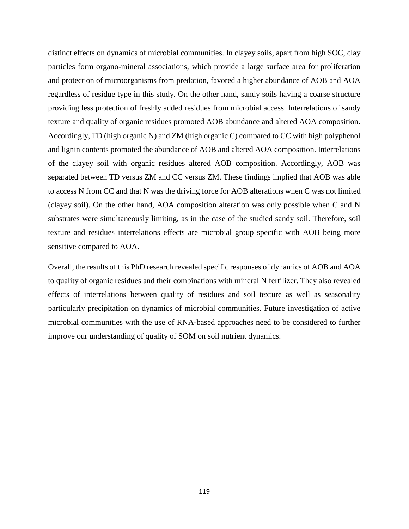distinct effects on dynamics of microbial communities. In clayey soils, apart from high SOC, clay particles form organo-mineral associations, which provide a large surface area for proliferation and protection of microorganisms from predation, favored a higher abundance of AOB and AOA regardless of residue type in this study. On the other hand, sandy soils having a coarse structure providing less protection of freshly added residues from microbial access. Interrelations of sandy texture and quality of organic residues promoted AOB abundance and altered AOA composition. Accordingly, TD (high organic N) and ZM (high organic C) compared to CC with high polyphenol and lignin contents promoted the abundance of AOB and altered AOA composition. Interrelations of the clayey soil with organic residues altered AOB composition. Accordingly, AOB was separated between TD versus ZM and CC versus ZM. These findings implied that AOB was able to access N from CC and that N was the driving force for AOB alterations when C was not limited (clayey soil). On the other hand, AOA composition alteration was only possible when C and N substrates were simultaneously limiting, as in the case of the studied sandy soil. Therefore, soil texture and residues interrelations effects are microbial group specific with AOB being more sensitive compared to AOA.

Overall, the results of this PhD research revealed specific responses of dynamics of AOB and AOA to quality of organic residues and their combinations with mineral N fertilizer. They also revealed effects of interrelations between quality of residues and soil texture as well as seasonality particularly precipitation on dynamics of microbial communities. Future investigation of active microbial communities with the use of RNA-based approaches need to be considered to further improve our understanding of quality of SOM on soil nutrient dynamics.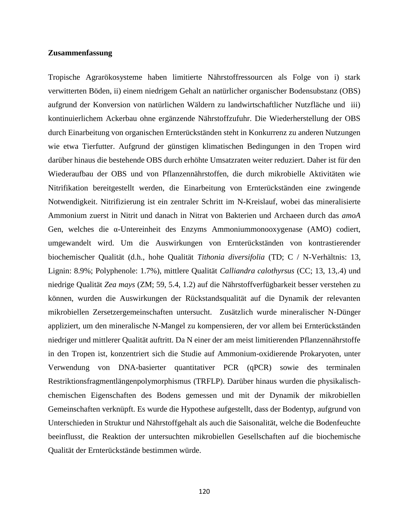## **Zusammenfassung**

Tropische Agrarökosysteme haben limitierte Nährstoffressourcen als Folge von i) stark verwitterten Böden, ii) einem niedrigem Gehalt an natürlicher organischer Bodensubstanz (OBS) aufgrund der Konversion von natürlichen Wäldern zu landwirtschaftlicher Nutzfläche und iii) kontinuierlichem Ackerbau ohne ergänzende Nährstoffzufuhr. Die Wiederherstellung der OBS durch Einarbeitung von organischen Ernterückständen steht in Konkurrenz zu anderen Nutzungen wie etwa Tierfutter. Aufgrund der günstigen klimatischen Bedingungen in den Tropen wird darüber hinaus die bestehende OBS durch erhöhte Umsatzraten weiter reduziert. Daher ist für den Wiederaufbau der OBS und von Pflanzennährstoffen, die durch mikrobielle Aktivitäten wie Nitrifikation bereitgestellt werden, die Einarbeitung von Ernterückständen eine zwingende Notwendigkeit. Nitrifizierung ist ein zentraler Schritt im N-Kreislauf, wobei das mineralisierte Ammonium zuerst in Nitrit und danach in Nitrat von Bakterien und Archaeen durch das *amoA* Gen, welches die α-Untereinheit des Enzyms Ammoniummonooxygenase (AMO) codiert, umgewandelt wird. Um die Auswirkungen von Ernterückständen von kontrastierender biochemischer Qualität (d.h., hohe Qualität *Tithonia diversifolia* (TD; C / N-Verhältnis: 13, Lignin: 8.9%; Polyphenole: 1.7%), mittlere Qualität *Calliandra calothyrsus* (CC; 13, 13,.4) und niedrige Qualität *Zea mays* (ZM; 59, 5.4, 1.2) auf die Nährstoffverfügbarkeit besser verstehen zu können, wurden die Auswirkungen der Rückstandsqualität auf die Dynamik der relevanten mikrobiellen Zersetzergemeinschaften untersucht. Zusätzlich wurde mineralischer N-Dünger appliziert, um den mineralische N-Mangel zu kompensieren, der vor allem bei Ernterückständen niedriger und mittlerer Qualität auftritt. Da N einer der am meist limitierenden Pflanzennährstoffe in den Tropen ist, konzentriert sich die Studie auf Ammonium-oxidierende Prokaryoten, unter Verwendung von DNA-basierter quantitativer PCR (qPCR) sowie des terminalen Restriktionsfragmentlängenpolymorphismus (TRFLP). Darüber hinaus wurden die physikalischchemischen Eigenschaften des Bodens gemessen und mit der Dynamik der mikrobiellen Gemeinschaften verknüpft. Es wurde die Hypothese aufgestellt, dass der Bodentyp, aufgrund von Unterschieden in Struktur und Nährstoffgehalt als auch die Saisonalität, welche die Bodenfeuchte beeinflusst, die Reaktion der untersuchten mikrobiellen Gesellschaften auf die biochemische Qualität der Ernterückstände bestimmen würde.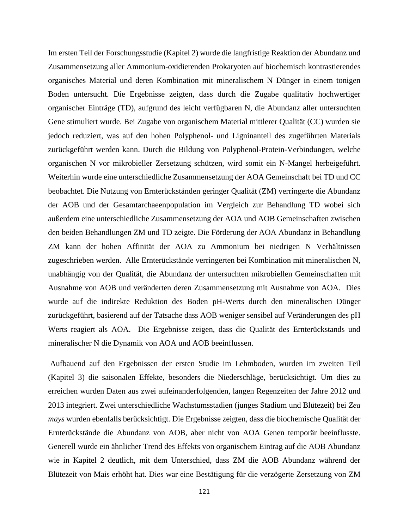Im ersten Teil der Forschungsstudie (Kapitel 2) wurde die langfristige Reaktion der Abundanz und Zusammensetzung aller Ammonium-oxidierenden Prokaryoten auf biochemisch kontrastierendes organisches Material und deren Kombination mit mineralischem N Dünger in einem tonigen Boden untersucht. Die Ergebnisse zeigten, dass durch die Zugabe qualitativ hochwertiger organischer Einträge (TD), aufgrund des leicht verfügbaren N, die Abundanz aller untersuchten Gene stimuliert wurde. Bei Zugabe von organischem Material mittlerer Qualität (CC) wurden sie jedoch reduziert, was auf den hohen Polyphenol- und Ligninanteil des zugeführten Materials zurückgeführt werden kann. Durch die Bildung von Polyphenol-Protein-Verbindungen, welche organischen N vor mikrobieller Zersetzung schützen, wird somit ein N-Mangel herbeigeführt. Weiterhin wurde eine unterschiedliche Zusammensetzung der AOA Gemeinschaft bei TD und CC beobachtet. Die Nutzung von Ernterückständen geringer Qualität (ZM) verringerte die Abundanz der AOB und der Gesamtarchaeenpopulation im Vergleich zur Behandlung TD wobei sich außerdem eine unterschiedliche Zusammensetzung der AOA und AOB Gemeinschaften zwischen den beiden Behandlungen ZM und TD zeigte. Die Förderung der AOA Abundanz in Behandlung ZM kann der hohen Affinität der AOA zu Ammonium bei niedrigen N Verhältnissen zugeschrieben werden. Alle Ernterückstände verringerten bei Kombination mit mineralischen N, unabhängig von der Qualität, die Abundanz der untersuchten mikrobiellen Gemeinschaften mit Ausnahme von AOB und veränderten deren Zusammensetzung mit Ausnahme von AOA. Dies wurde auf die indirekte Reduktion des Boden pH-Werts durch den mineralischen Dünger zurückgeführt, basierend auf der Tatsache dass AOB weniger sensibel auf Veränderungen des pH Werts reagiert als AOA. Die Ergebnisse zeigen, dass die Qualität des Ernterückstands und mineralischer N die Dynamik von AOA und AOB beeinflussen.

Aufbauend auf den Ergebnissen der ersten Studie im Lehmboden, wurden im zweiten Teil (Kapitel 3) die saisonalen Effekte, besonders die Niederschläge, berücksichtigt. Um dies zu erreichen wurden Daten aus zwei aufeinanderfolgenden, langen Regenzeiten der Jahre 2012 und 2013 integriert. Zwei unterschiedliche Wachstumsstadien (junges Stadium und Blütezeit) bei *Zea mays* wurden ebenfalls berücksichtigt. Die Ergebnisse zeigten, dass die biochemische Qualität der Ernterückstände die Abundanz von AOB, aber nicht von AOA Genen temporär beeinflusste. Generell wurde ein ähnlicher Trend des Effekts von organischem Eintrag auf die AOB Abundanz wie in Kapitel 2 deutlich, mit dem Unterschied, dass ZM die AOB Abundanz während der Blütezeit von Mais erhöht hat. Dies war eine Bestätigung für die verzögerte Zersetzung von ZM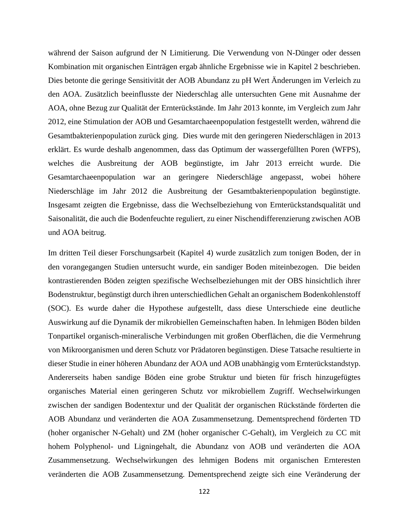während der Saison aufgrund der N Limitierung. Die Verwendung von N-Dünger oder dessen Kombination mit organischen Einträgen ergab ähnliche Ergebnisse wie in Kapitel 2 beschrieben. Dies betonte die geringe Sensitivität der AOB Abundanz zu pH Wert Änderungen im Verleich zu den AOA. Zusätzlich beeinflusste der Niederschlag alle untersuchten Gene mit Ausnahme der AOA, ohne Bezug zur Qualität der Ernterückstände. Im Jahr 2013 konnte, im Vergleich zum Jahr 2012, eine Stimulation der AOB und Gesamtarchaeenpopulation festgestellt werden, während die Gesamtbakterienpopulation zurück ging. Dies wurde mit den geringeren Niederschlägen in 2013 erklärt. Es wurde deshalb angenommen, dass das Optimum der wassergefüllten Poren (WFPS), welches die Ausbreitung der AOB begünstigte, im Jahr 2013 erreicht wurde. Die Gesamtarchaeenpopulation war an geringere Niederschläge angepasst, wobei höhere Niederschläge im Jahr 2012 die Ausbreitung der Gesamtbakterienpopulation begünstigte. Insgesamt zeigten die Ergebnisse, dass die Wechselbeziehung von Ernterückstandsqualität und Saisonalität, die auch die Bodenfeuchte reguliert, zu einer Nischendifferenzierung zwischen AOB und AOA beitrug.

Im dritten Teil dieser Forschungsarbeit (Kapitel 4) wurde zusätzlich zum tonigen Boden, der in den vorangegangen Studien untersucht wurde, ein sandiger Boden miteinbezogen. Die beiden kontrastierenden Böden zeigten spezifische Wechselbeziehungen mit der OBS hinsichtlich ihrer Bodenstruktur, begünstigt durch ihren unterschiedlichen Gehalt an organischem Bodenkohlenstoff (SOC). Es wurde daher die Hypothese aufgestellt, dass diese Unterschiede eine deutliche Auswirkung auf die Dynamik der mikrobiellen Gemeinschaften haben. In lehmigen Böden bilden Tonpartikel organisch-mineralische Verbindungen mit großen Oberflächen, die die Vermehrung von Mikroorganismen und deren Schutz vor Prädatoren begünstigen. Diese Tatsache resultierte in dieser Studie in einer höheren Abundanz der AOA und AOB unabhängig vom Ernterückstandstyp. Andererseits haben sandige Böden eine grobe Struktur und bieten für frisch hinzugefügtes organisches Material einen geringeren Schutz vor mikrobiellem Zugriff. Wechselwirkungen zwischen der sandigen Bodentextur und der Qualität der organischen Rückstände förderten die AOB Abundanz und veränderten die AOA Zusammensetzung. Dementsprechend förderten TD (hoher organischer N-Gehalt) und ZM (hoher organischer C-Gehalt), im Vergleich zu CC mit hohem Polyphenol- und Ligningehalt, die Abundanz von AOB und veränderten die AOA Zusammensetzung. Wechselwirkungen des lehmigen Bodens mit organischen Ernteresten veränderten die AOB Zusammensetzung. Dementsprechend zeigte sich eine Veränderung der